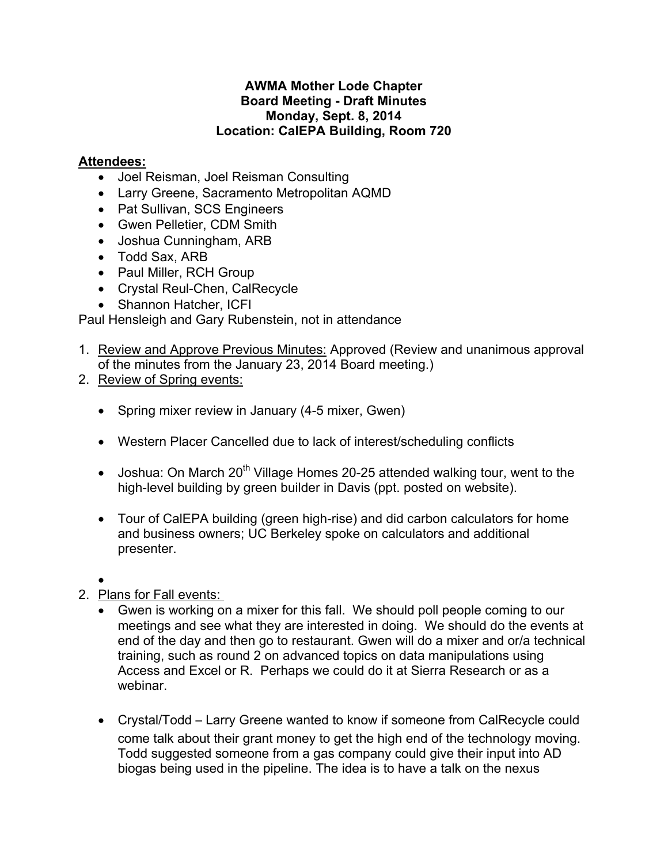## **AWMA Mother Lode Chapter Board Meeting - Draft Minutes Monday, Sept. 8, 2014 Location: CalEPA Building, Room 720**

## **Attendees:**

- Joel Reisman, Joel Reisman Consulting
- Larry Greene, Sacramento Metropolitan AQMD
- Pat Sullivan, SCS Engineers
- Gwen Pelletier, CDM Smith
- Joshua Cunningham, ARB
- Todd Sax, ARB
- Paul Miller, RCH Group
- Crystal Reul-Chen, CalRecycle
- Shannon Hatcher, ICFI

Paul Hensleigh and Gary Rubenstein, not in attendance

- 1. Review and Approve Previous Minutes: Approved (Review and unanimous approval of the minutes from the January 23, 2014 Board meeting.)
- 2. Review of Spring events:
	- Spring mixer review in January (4-5 mixer, Gwen)
	- Western Placer Cancelled due to lack of interest/scheduling conflicts
	- Joshua: On March  $20^{th}$  Village Homes 20-25 attended walking tour, went to the high-level building by green builder in Davis (ppt. posted on website).
	- Tour of CalEPA building (green high-rise) and did carbon calculators for home and business owners; UC Berkeley spoke on calculators and additional presenter.
	- $\bullet$
- 2. Plans for Fall events:
	- Gwen is working on a mixer for this fall. We should poll people coming to our meetings and see what they are interested in doing. We should do the events at end of the day and then go to restaurant. Gwen will do a mixer and or/a technical training, such as round 2 on advanced topics on data manipulations using Access and Excel or R. Perhaps we could do it at Sierra Research or as a webinar.
	- Crystal/Todd Larry Greene wanted to know if someone from CalRecycle could come talk about their grant money to get the high end of the technology moving. Todd suggested someone from a gas company could give their input into AD biogas being used in the pipeline. The idea is to have a talk on the nexus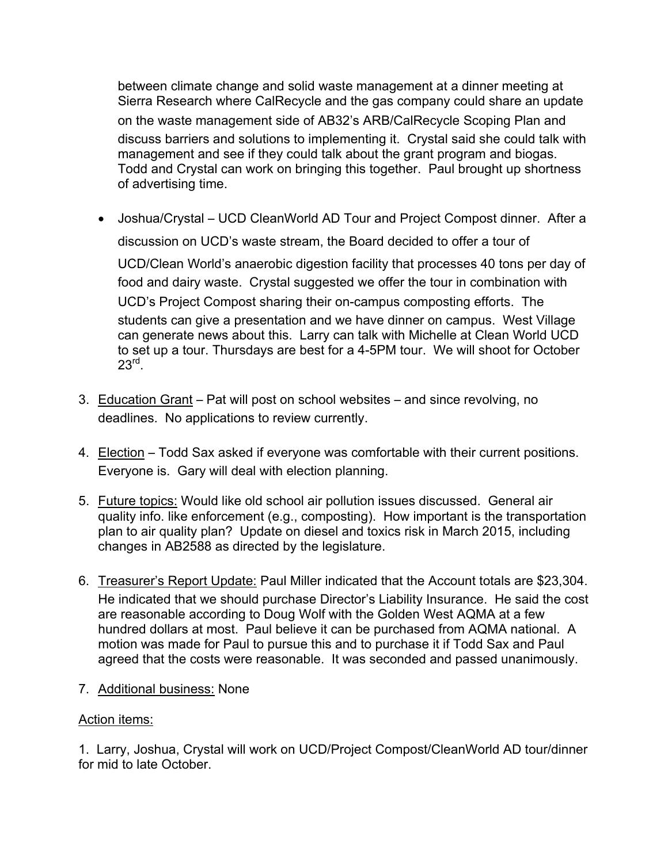between climate change and solid waste management at a dinner meeting at Sierra Research where CalRecycle and the gas company could share an update on the waste management side of AB32's ARB/CalRecycle Scoping Plan and discuss barriers and solutions to implementing it. Crystal said she could talk with management and see if they could talk about the grant program and biogas. Todd and Crystal can work on bringing this together. Paul brought up shortness of advertising time.

 Joshua/Crystal – UCD CleanWorld AD Tour and Project Compost dinner. After a discussion on UCD's waste stream, the Board decided to offer a tour of

UCD/Clean World's anaerobic digestion facility that processes 40 tons per day of food and dairy waste. Crystal suggested we offer the tour in combination with UCD's Project Compost sharing their on-campus composting efforts. The students can give a presentation and we have dinner on campus. West Village can generate news about this. Larry can talk with Michelle at Clean World UCD to set up a tour. Thursdays are best for a 4-5PM tour. We will shoot for October  $23^{\text{rd}}$ .

- 3. Education Grant Pat will post on school websites and since revolving, no deadlines. No applications to review currently.
- 4. Election Todd Sax asked if everyone was comfortable with their current positions. Everyone is. Gary will deal with election planning.
- 5. Future topics: Would like old school air pollution issues discussed. General air quality info. like enforcement (e.g., composting). How important is the transportation plan to air quality plan? Update on diesel and toxics risk in March 2015, including changes in AB2588 as directed by the legislature.
- 6. Treasurer's Report Update: Paul Miller indicated that the Account totals are \$23,304. He indicated that we should purchase Director's Liability Insurance. He said the cost are reasonable according to Doug Wolf with the Golden West AQMA at a few hundred dollars at most. Paul believe it can be purchased from AQMA national. A motion was made for Paul to pursue this and to purchase it if Todd Sax and Paul agreed that the costs were reasonable. It was seconded and passed unanimously.
- 7. Additional business: None

## Action items:

1. Larry, Joshua, Crystal will work on UCD/Project Compost/CleanWorld AD tour/dinner for mid to late October.